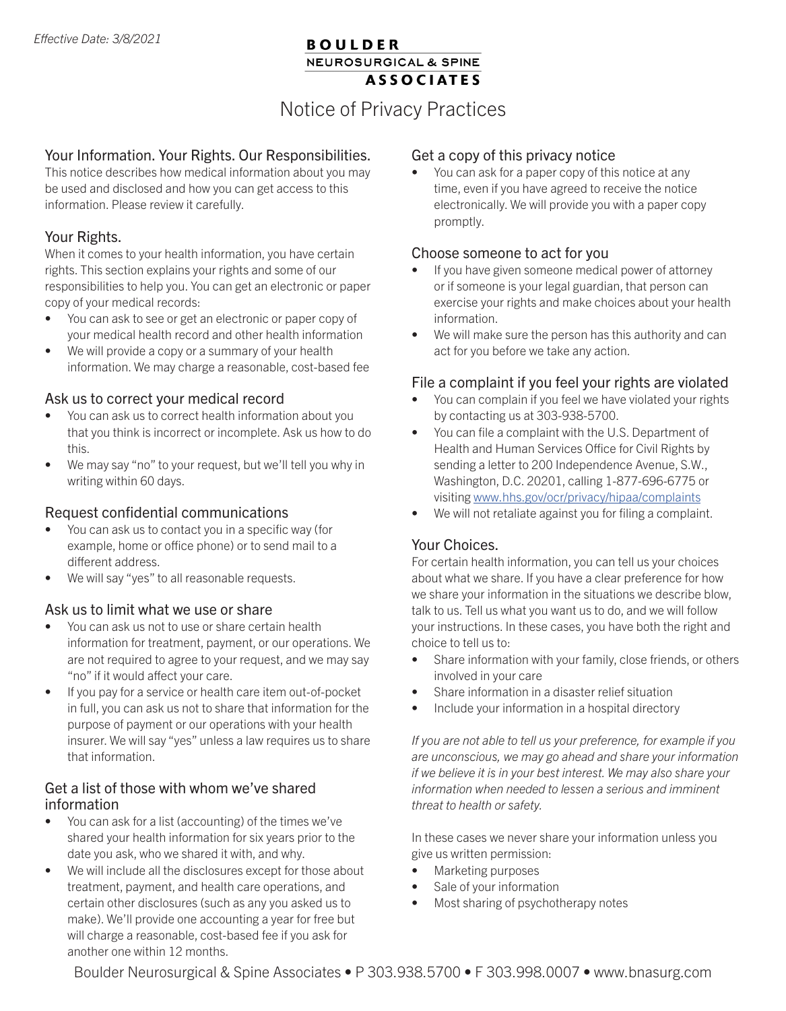# **BOULDER NEUROSURGICAL & SPINE ASSOCIATES**

# Notice of Privacy Practices

# Your Information. Your Rights. Our Responsibilities.

This notice describes how medical information about you may be used and disclosed and how you can get access to this information. Please review it carefully.

# Your Rights.

When it comes to your health information, you have certain rights. This section explains your rights and some of our responsibilities to help you. You can get an electronic or paper copy of your medical records:

- You can ask to see or get an electronic or paper copy of your medical health record and other health information
- We will provide a copy or a summary of your health information. We may charge a reasonable, cost-based fee

# Ask us to correct your medical record

- You can ask us to correct health information about you that you think is incorrect or incomplete. Ask us how to do this.
- We may say "no" to your request, but we'll tell you why in writing within 60 days.

# Request confidential communications

- You can ask us to contact you in a specific way (for example, home or office phone) or to send mail to a different address.
- We will say "yes" to all reasonable requests.

# Ask us to limit what we use or share

- You can ask us not to use or share certain health information for treatment, payment, or our operations. We are not required to agree to your request, and we may say "no" if it would affect your care.
- If you pay for a service or health care item out-of-pocket in full, you can ask us not to share that information for the purpose of payment or our operations with your health insurer. We will say "yes" unless a law requires us to share that information.

# Get a list of those with whom we've shared information

- You can ask for a list (accounting) of the times we've shared your health information for six years prior to the date you ask, who we shared it with, and why.
- We will include all the disclosures except for those about treatment, payment, and health care operations, and certain other disclosures (such as any you asked us to make). We'll provide one accounting a year for free but will charge a reasonable, cost-based fee if you ask for another one within 12 months.

# Get a copy of this privacy notice

• You can ask for a paper copy of this notice at any time, even if you have agreed to receive the notice electronically. We will provide you with a paper copy promptly.

#### Choose someone to act for you

- If you have given someone medical power of attorney or if someone is your legal guardian, that person can exercise your rights and make choices about your health information.
- We will make sure the person has this authority and can act for you before we take any action.

# File a complaint if you feel your rights are violated

- You can complain if you feel we have violated your rights by contacting us at 303-938-5700.
- You can file a complaint with the U.S. Department of Health and Human Services Office for Civil Rights by sending a letter to 200 Independence Avenue, S.W., Washington, D.C. 20201, calling 1-877-696-6775 or visiting www.hhs.gov/ocr/privacy/hipaa/complaints
- We will not retaliate against you for filing a complaint.

# Your Choices.

For certain health information, you can tell us your choices about what we share. If you have a clear preference for how we share your information in the situations we describe blow, talk to us. Tell us what you want us to do, and we will follow your instructions. In these cases, you have both the right and choice to tell us to:

- Share information with your family, close friends, or others involved in your care
- Share information in a disaster relief situation
- Include your information in a hospital directory

*If you are not able to tell us your preference, for example if you are unconscious, we may go ahead and share your information if we believe it is in your best interest. We may also share your information when needed to lessen a serious and imminent threat to health or safety.*

In these cases we never share your information unless you give us written permission:

- Marketing purposes
- Sale of your information
- Most sharing of psychotherapy notes

Boulder Neurosurgical & Spine Associates • P 303.938.5700 • F 303.998.0007 • www.bnasurg.com